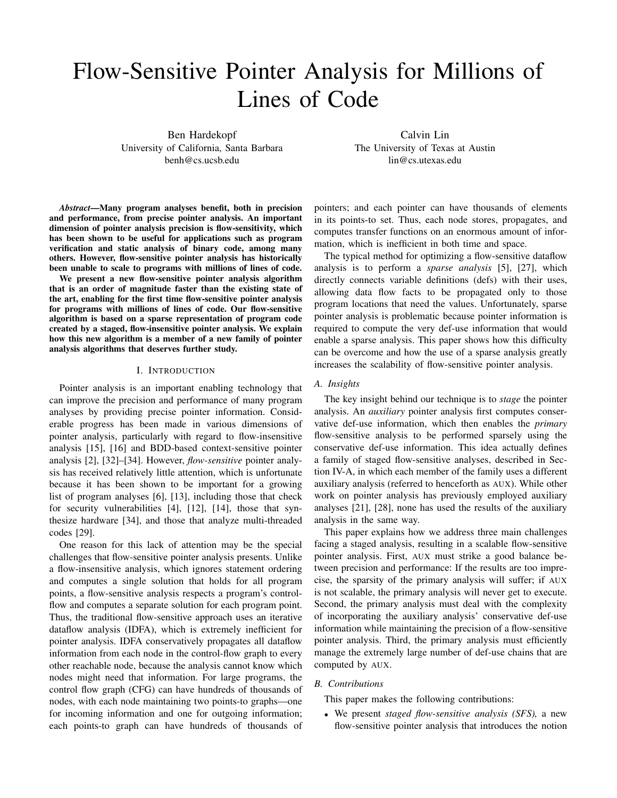# Flow-Sensitive Pointer Analysis for Millions of Lines of Code

Ben Hardekopf University of California, Santa Barbara benh@cs.ucsb.edu

Calvin Lin The University of Texas at Austin lin@cs.utexas.edu

*Abstract*—Many program analyses benefit, both in precision and performance, from precise pointer analysis. An important dimension of pointer analysis precision is flow-sensitivity, which has been shown to be useful for applications such as program verification and static analysis of binary code, among many others. However, flow-sensitive pointer analysis has historically been unable to scale to programs with millions of lines of code.

We present a new flow-sensitive pointer analysis algorithm that is an order of magnitude faster than the existing state of the art, enabling for the first time flow-sensitive pointer analysis for programs with millions of lines of code. Our flow-sensitive algorithm is based on a sparse representation of program code created by a staged, flow-insensitive pointer analysis. We explain how this new algorithm is a member of a new family of pointer analysis algorithms that deserves further study.

## I. INTRODUCTION

Pointer analysis is an important enabling technology that can improve the precision and performance of many program analyses by providing precise pointer information. Considerable progress has been made in various dimensions of pointer analysis, particularly with regard to flow-insensitive analysis [15], [16] and BDD-based context-sensitive pointer analysis [2], [32]–[34]. However, *flow-sensitive* pointer analysis has received relatively little attention, which is unfortunate because it has been shown to be important for a growing list of program analyses [6], [13], including those that check for security vulnerabilities [4], [12], [14], those that synthesize hardware [34], and those that analyze multi-threaded codes [29].

One reason for this lack of attention may be the special challenges that flow-sensitive pointer analysis presents. Unlike a flow-insensitive analysis, which ignores statement ordering and computes a single solution that holds for all program points, a flow-sensitive analysis respects a program's controlflow and computes a separate solution for each program point. Thus, the traditional flow-sensitive approach uses an iterative dataflow analysis (IDFA), which is extremely inefficient for pointer analysis. IDFA conservatively propagates all dataflow information from each node in the control-flow graph to every other reachable node, because the analysis cannot know which nodes might need that information. For large programs, the control flow graph (CFG) can have hundreds of thousands of nodes, with each node maintaining two points-to graphs—one for incoming information and one for outgoing information; each points-to graph can have hundreds of thousands of

pointers; and each pointer can have thousands of elements in its points-to set. Thus, each node stores, propagates, and computes transfer functions on an enormous amount of information, which is inefficient in both time and space.

The typical method for optimizing a flow-sensitive dataflow analysis is to perform a *sparse analysis* [5], [27], which directly connects variable definitions (defs) with their uses, allowing data flow facts to be propagated only to those program locations that need the values. Unfortunately, sparse pointer analysis is problematic because pointer information is required to compute the very def-use information that would enable a sparse analysis. This paper shows how this difficulty can be overcome and how the use of a sparse analysis greatly increases the scalability of flow-sensitive pointer analysis.

#### *A. Insights*

The key insight behind our technique is to *stage* the pointer analysis. An *auxiliary* pointer analysis first computes conservative def-use information, which then enables the *primary* flow-sensitive analysis to be performed sparsely using the conservative def-use information. This idea actually defines a family of staged flow-sensitive analyses, described in Section IV-A, in which each member of the family uses a different auxiliary analysis (referred to henceforth as AUX). While other work on pointer analysis has previously employed auxiliary analyses [21], [28], none has used the results of the auxiliary analysis in the same way.

This paper explains how we address three main challenges facing a staged analysis, resulting in a scalable flow-sensitive pointer analysis. First, AUX must strike a good balance between precision and performance: If the results are too imprecise, the sparsity of the primary analysis will suffer; if AUX is not scalable, the primary analysis will never get to execute. Second, the primary analysis must deal with the complexity of incorporating the auxiliary analysis' conservative def-use information while maintaining the precision of a flow-sensitive pointer analysis. Third, the primary analysis must efficiently manage the extremely large number of def-use chains that are computed by AUX.

# *B. Contributions*

This paper makes the following contributions:

• We present *staged flow-sensitive analysis (SFS),* a new flow-sensitive pointer analysis that introduces the notion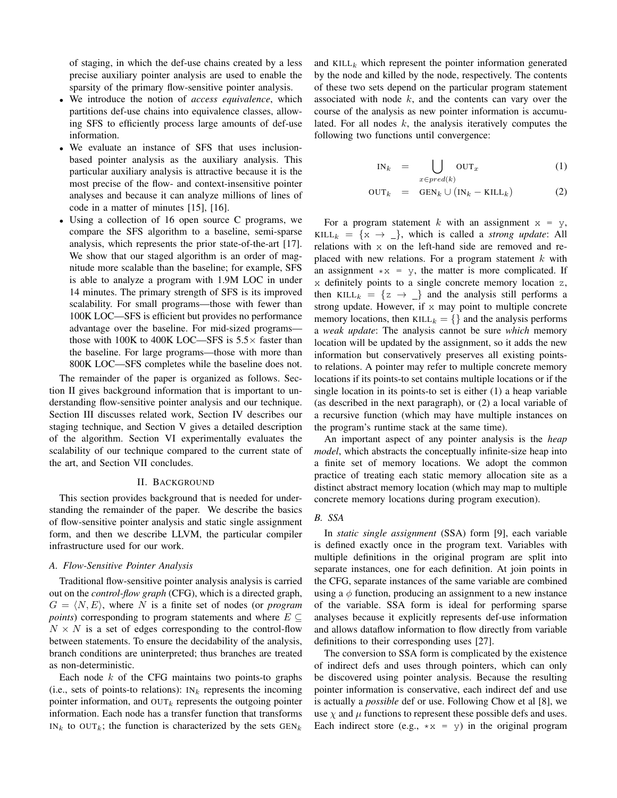of staging, in which the def-use chains created by a less precise auxiliary pointer analysis are used to enable the sparsity of the primary flow-sensitive pointer analysis.

- We introduce the notion of *access equivalence*, which partitions def-use chains into equivalence classes, allowing SFS to efficiently process large amounts of def-use information.
- We evaluate an instance of SFS that uses inclusionbased pointer analysis as the auxiliary analysis. This particular auxiliary analysis is attractive because it is the most precise of the flow- and context-insensitive pointer analyses and because it can analyze millions of lines of code in a matter of minutes [15], [16].
- Using a collection of 16 open source C programs, we compare the SFS algorithm to a baseline, semi-sparse analysis, which represents the prior state-of-the-art [17]. We show that our staged algorithm is an order of magnitude more scalable than the baseline; for example, SFS is able to analyze a program with 1.9M LOC in under 14 minutes. The primary strength of SFS is its improved scalability. For small programs—those with fewer than 100K LOC—SFS is efficient but provides no performance advantage over the baseline. For mid-sized programs those with 100K to 400K LOC—SFS is  $5.5\times$  faster than the baseline. For large programs—those with more than 800K LOC—SFS completes while the baseline does not.

The remainder of the paper is organized as follows. Section II gives background information that is important to understanding flow-sensitive pointer analysis and our technique. Section III discusses related work, Section IV describes our staging technique, and Section V gives a detailed description of the algorithm. Section VI experimentally evaluates the scalability of our technique compared to the current state of the art, and Section VII concludes.

# II. BACKGROUND

This section provides background that is needed for understanding the remainder of the paper. We describe the basics of flow-sensitive pointer analysis and static single assignment form, and then we describe LLVM, the particular compiler infrastructure used for our work.

#### *A. Flow-Sensitive Pointer Analysis*

Traditional flow-sensitive pointer analysis analysis is carried out on the *control-flow graph* (CFG), which is a directed graph,  $G = \langle N, E \rangle$ , where N is a finite set of nodes (or *program*) *points*) corresponding to program statements and where  $E \subseteq$  $N \times N$  is a set of edges corresponding to the control-flow between statements. To ensure the decidability of the analysis, branch conditions are uninterpreted; thus branches are treated as non-deterministic.

Each node  $k$  of the CFG maintains two points-to graphs (i.e., sets of points-to relations):  $IN_k$  represents the incoming pointer information, and  $\text{OUT}_k$  represents the outgoing pointer information. Each node has a transfer function that transforms  $IN_k$  to  $OUT_k$ ; the function is characterized by the sets  $GEN_k$ 

and KILL<sub>k</sub> which represent the pointer information generated by the node and killed by the node, respectively. The contents of these two sets depend on the particular program statement associated with node  $k$ , and the contents can vary over the course of the analysis as new pointer information is accumulated. For all nodes  $k$ , the analysis iteratively computes the following two functions until convergence:

$$
IN_k = \bigcup_{x \in pred(k)} OUT_x \tag{1}
$$

$$
OUT_k = GEN_k \cup (IN_k - KILL_k)
$$
 (2)

For a program statement k with an assignment  $x = y$ , KILL<sub>k</sub> = { $x \rightarrow$  \_}, which is called a *strong update*: All relations with x on the left-hand side are removed and replaced with new relations. For a program statement  $k$  with an assignment  $\star x = y$ , the matter is more complicated. If x definitely points to a single concrete memory location z, then KILL<sub>k</sub> =  $\{z \rightarrow \_\}$  and the analysis still performs a strong update. However, if  $x$  may point to multiple concrete memory locations, then KILL<sub>k</sub> = {} and the analysis performs a *weak update*: The analysis cannot be sure *which* memory location will be updated by the assignment, so it adds the new information but conservatively preserves all existing pointsto relations. A pointer may refer to multiple concrete memory locations if its points-to set contains multiple locations or if the single location in its points-to set is either (1) a heap variable (as described in the next paragraph), or (2) a local variable of a recursive function (which may have multiple instances on the program's runtime stack at the same time).

An important aspect of any pointer analysis is the *heap model*, which abstracts the conceptually infinite-size heap into a finite set of memory locations. We adopt the common practice of treating each static memory allocation site as a distinct abstract memory location (which may map to multiple concrete memory locations during program execution).

# *B. SSA*

In *static single assignment* (SSA) form [9], each variable is defined exactly once in the program text. Variables with multiple definitions in the original program are split into separate instances, one for each definition. At join points in the CFG, separate instances of the same variable are combined using a  $\phi$  function, producing an assignment to a new instance of the variable. SSA form is ideal for performing sparse analyses because it explicitly represents def-use information and allows dataflow information to flow directly from variable definitions to their corresponding uses [27].

The conversion to SSA form is complicated by the existence of indirect defs and uses through pointers, which can only be discovered using pointer analysis. Because the resulting pointer information is conservative, each indirect def and use is actually a *possible* def or use. Following Chow et al [8], we use  $\chi$  and  $\mu$  functions to represent these possible defs and uses. Each indirect store (e.g.,  $* x = y$ ) in the original program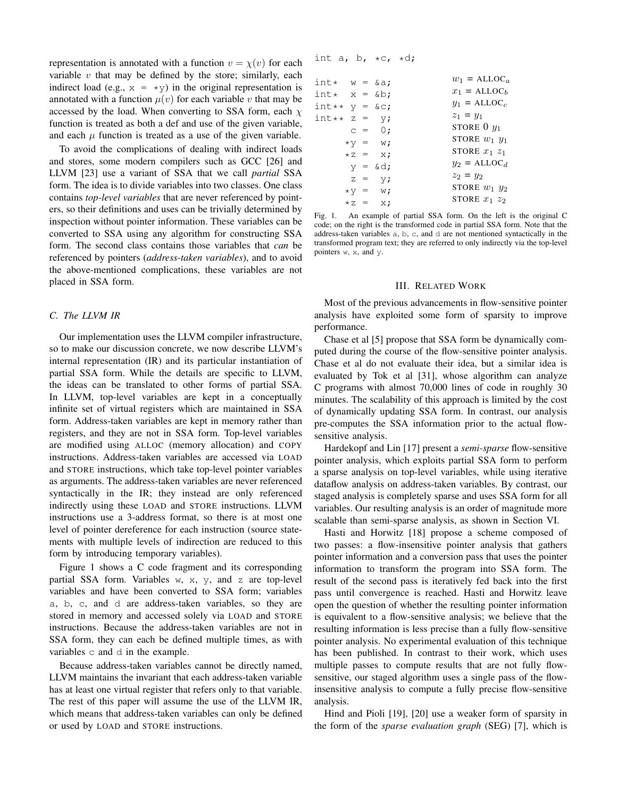representation is annotated with a function  $v = \chi(v)$  for each variable  $v$  that may be defined by the store; similarly, each indirect load (e.g.,  $x = \star y$ ) in the original representation is annotated with a function  $\mu(v)$  for each variable v that may be accessed by the load. When converting to SSA form, each  $\chi$ function is treated as both a def and use of the given variable, and each  $\mu$  function is treated as a use of the given variable.

To avoid the complications of dealing with indirect loads and stores, some modern compilers such as GCC [26] and LLVM [23] use a variant of SSA that we call *partial* SSA form. The idea is to divide variables into two classes. One class contains *top-level variables* that are never referenced by pointers, so their definitions and uses can be trivially determined by inspection without pointer information. These variables can be converted to SSA using any algorithm for constructing SSA form. The second class contains those variables that *can* be referenced by pointers (*address-taken variables*), and to avoid the above-mentioned complications, these variables are not placed in SSA form.

## *C. The LLVM IR*

Our implementation uses the LLVM compiler infrastructure, so to make our discussion concrete, we now describe LLVM's internal representation (IR) and its particular instantiation of partial SSA form. While the details are specific to LLVM, the ideas can be translated to other forms of partial SSA. In LLVM, top-level variables are kept in a conceptually infinite set of virtual registers which are maintained in SSA form. Address-taken variables are kept in memory rather than registers, and they are not in SSA form. Top-level variables are modified using ALLOC (memory allocation) and COPY instructions. Address-taken variables are accessed via LOAD and STORE instructions, which take top-level pointer variables as arguments. The address-taken variables are never referenced syntactically in the IR; they instead are only referenced indirectly using these LOAD and STORE instructions. LLVM instructions use a 3-address format, so there is at most one level of pointer dereference for each instruction (source statements with multiple levels of indirection are reduced to this form by introducing temporary variables).

Figure 1 shows a C code fragment and its corresponding partial SSA form. Variables  $w$ ,  $x$ ,  $y$ , and  $z$  are top-level variables and have been converted to SSA form; variables a, b, c, and d are address-taken variables, so they are stored in memory and accessed solely via LOAD and STORE instructions. Because the address-taken variables are not in SSA form, they can each be defined multiple times, as with variables c and d in the example.

Because address-taken variables cannot be directly named, LLVM maintains the invariant that each address-taken variable has at least one virtual register that refers only to that variable. The rest of this paper will assume the use of the LLVM IR, which means that address-taken variables can only be defined or used by LOAD and STORE instructions.

| int a, b, $*C$ , $*d$ ; |  |  |  |  |  |
|-------------------------|--|--|--|--|--|
|-------------------------|--|--|--|--|--|

| int* $w = \&a$    |                       | $w_1 = \text{ALLOC}_a$ |
|-------------------|-----------------------|------------------------|
| int* $x = \&b$ ;  |                       | $x_1 = \text{ALLOC}_h$ |
| int** $y = \&c$ ; |                       | $y_1 = \text{ALLOC}_c$ |
| int** z = $y;$    |                       | $z_1 = y_1$            |
|                   | $C = 0;$              | STORE $0 y_1$          |
|                   | $*v = w;$             | STORE $w_1$ $y_1$      |
|                   | $\star$ z = x;        | STORE $x_1$ $z_1$      |
|                   | $y = \delta d$ ;      | $y_2 = \text{ALLOC}_d$ |
|                   | $Z = V;$              | $z_2 = y_2$            |
|                   | $*V = W;$             | STORE $w_1$ $y_2$      |
|                   | $\star$ z = $\star$ ; | STORE $x_1$ $z_2$      |
|                   |                       |                        |

Fig. 1. An example of partial SSA form. On the left is the original C code; on the right is the transformed code in partial SSA form. Note that the address-taken variables a, b, c, and d are not mentioned syntactically in the transformed program text; they are referred to only indirectly via the top-level pointers  $w$ ,  $x$ , and  $y$ .

#### III. RELATED WORK

Most of the previous advancements in flow-sensitive pointer analysis have exploited some form of sparsity to improve performance.

Chase et al [5] propose that SSA form be dynamically computed during the course of the flow-sensitive pointer analysis. Chase et al do not evaluate their idea, but a similar idea is evaluated by Tok et al [31], whose algorithm can analyze C programs with almost 70,000 lines of code in roughly 30 minutes. The scalability of this approach is limited by the cost of dynamically updating SSA form. In contrast, our analysis pre-computes the SSA information prior to the actual flowsensitive analysis.

Hardekopf and Lin [17] present a *semi-sparse* flow-sensitive pointer analysis, which exploits partial SSA form to perform a sparse analysis on top-level variables, while using iterative dataflow analysis on address-taken variables. By contrast, our staged analysis is completely sparse and uses SSA form for all variables. Our resulting analysis is an order of magnitude more scalable than semi-sparse analysis, as shown in Section VI.

Hasti and Horwitz [18] propose a scheme composed of two passes: a flow-insensitive pointer analysis that gathers pointer information and a conversion pass that uses the pointer information to transform the program into SSA form. The result of the second pass is iteratively fed back into the first pass until convergence is reached. Hasti and Horwitz leave open the question of whether the resulting pointer information is equivalent to a flow-sensitive analysis; we believe that the resulting information is less precise than a fully flow-sensitive pointer analysis. No experimental evaluation of this technique has been published. In contrast to their work, which uses multiple passes to compute results that are not fully flowsensitive, our staged algorithm uses a single pass of the flowinsensitive analysis to compute a fully precise flow-sensitive analysis.

Hind and Pioli [19], [20] use a weaker form of sparsity in the form of the *sparse evaluation graph* (SEG) [7], which is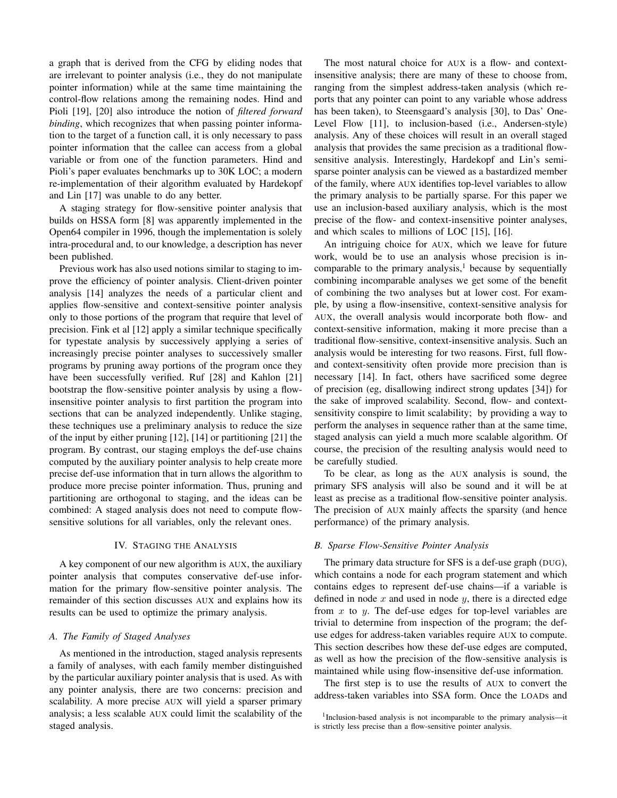a graph that is derived from the CFG by eliding nodes that are irrelevant to pointer analysis (i.e., they do not manipulate pointer information) while at the same time maintaining the control-flow relations among the remaining nodes. Hind and Pioli [19], [20] also introduce the notion of *filtered forward binding*, which recognizes that when passing pointer information to the target of a function call, it is only necessary to pass pointer information that the callee can access from a global variable or from one of the function parameters. Hind and Pioli's paper evaluates benchmarks up to 30K LOC; a modern re-implementation of their algorithm evaluated by Hardekopf and Lin [17] was unable to do any better.

A staging strategy for flow-sensitive pointer analysis that builds on HSSA form [8] was apparently implemented in the Open64 compiler in 1996, though the implementation is solely intra-procedural and, to our knowledge, a description has never been published.

Previous work has also used notions similar to staging to improve the efficiency of pointer analysis. Client-driven pointer analysis [14] analyzes the needs of a particular client and applies flow-sensitive and context-sensitive pointer analysis only to those portions of the program that require that level of precision. Fink et al [12] apply a similar technique specifically for typestate analysis by successively applying a series of increasingly precise pointer analyses to successively smaller programs by pruning away portions of the program once they have been successfully verified. Ruf [28] and Kahlon [21] bootstrap the flow-sensitive pointer analysis by using a flowinsensitive pointer analysis to first partition the program into sections that can be analyzed independently. Unlike staging, these techniques use a preliminary analysis to reduce the size of the input by either pruning [12], [14] or partitioning [21] the program. By contrast, our staging employs the def-use chains computed by the auxiliary pointer analysis to help create more precise def-use information that in turn allows the algorithm to produce more precise pointer information. Thus, pruning and partitioning are orthogonal to staging, and the ideas can be combined: A staged analysis does not need to compute flowsensitive solutions for all variables, only the relevant ones.

# IV. STAGING THE ANALYSIS

A key component of our new algorithm is AUX, the auxiliary pointer analysis that computes conservative def-use information for the primary flow-sensitive pointer analysis. The remainder of this section discusses AUX and explains how its results can be used to optimize the primary analysis.

#### *A. The Family of Staged Analyses*

As mentioned in the introduction, staged analysis represents a family of analyses, with each family member distinguished by the particular auxiliary pointer analysis that is used. As with any pointer analysis, there are two concerns: precision and scalability. A more precise AUX will yield a sparser primary analysis; a less scalable AUX could limit the scalability of the staged analysis.

The most natural choice for AUX is a flow- and contextinsensitive analysis; there are many of these to choose from, ranging from the simplest address-taken analysis (which reports that any pointer can point to any variable whose address has been taken), to Steensgaard's analysis [30], to Das' One-Level Flow [11], to inclusion-based (i.e., Andersen-style) analysis. Any of these choices will result in an overall staged analysis that provides the same precision as a traditional flowsensitive analysis. Interestingly, Hardekopf and Lin's semisparse pointer analysis can be viewed as a bastardized member of the family, where AUX identifies top-level variables to allow the primary analysis to be partially sparse. For this paper we use an inclusion-based auxiliary analysis, which is the most precise of the flow- and context-insensitive pointer analyses, and which scales to millions of LOC [15], [16].

An intriguing choice for AUX, which we leave for future work, would be to use an analysis whose precision is incomparable to the primary analysis, $<sup>1</sup>$  because by sequentially</sup> combining incomparable analyses we get some of the benefit of combining the two analyses but at lower cost. For example, by using a flow-insensitive, context-sensitive analysis for AUX, the overall analysis would incorporate both flow- and context-sensitive information, making it more precise than a traditional flow-sensitive, context-insensitive analysis. Such an analysis would be interesting for two reasons. First, full flowand context-sensitivity often provide more precision than is necessary [14]. In fact, others have sacrificed some degree of precision (eg, disallowing indirect strong updates [34]) for the sake of improved scalability. Second, flow- and contextsensitivity conspire to limit scalability; by providing a way to perform the analyses in sequence rather than at the same time, staged analysis can yield a much more scalable algorithm. Of course, the precision of the resulting analysis would need to be carefully studied.

To be clear, as long as the AUX analysis is sound, the primary SFS analysis will also be sound and it will be at least as precise as a traditional flow-sensitive pointer analysis. The precision of AUX mainly affects the sparsity (and hence performance) of the primary analysis.

#### *B. Sparse Flow-Sensitive Pointer Analysis*

The primary data structure for SFS is a def-use graph (DUG), which contains a node for each program statement and which contains edges to represent def-use chains—if a variable is defined in node  $x$  and used in node  $y$ , there is a directed edge from  $x$  to  $y$ . The def-use edges for top-level variables are trivial to determine from inspection of the program; the defuse edges for address-taken variables require AUX to compute. This section describes how these def-use edges are computed, as well as how the precision of the flow-sensitive analysis is maintained while using flow-insensitive def-use information.

The first step is to use the results of AUX to convert the address-taken variables into SSA form. Once the LOADs and

<sup>&</sup>lt;sup>1</sup>Inclusion-based analysis is not incomparable to the primary analysis-it is strictly less precise than a flow-sensitive pointer analysis.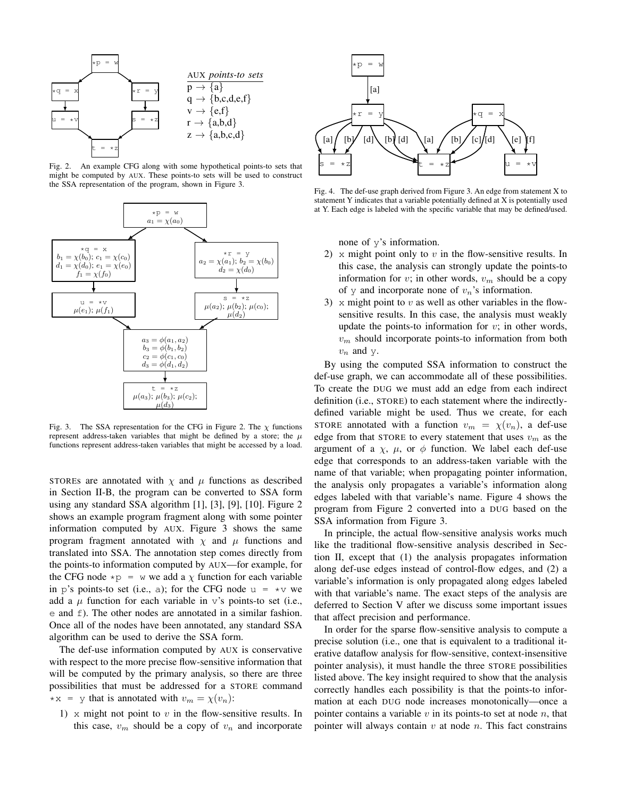

Fig. 2. An example CFG along with some hypothetical points-to sets that might be computed by AUX. These points-to sets will be used to construct the SSA representation of the program, shown in Figure 3.



Fig. 3. The SSA representation for the CFG in Figure 2. The  $\chi$  functions represent address-taken variables that might be defined by a store; the  $\mu$ functions represent address-taken variables that might be accessed by a load.

STOREs are annotated with  $\chi$  and  $\mu$  functions as described in Section II-B, the program can be converted to SSA form using any standard SSA algorithm [1], [3], [9], [10]. Figure 2 shows an example program fragment along with some pointer information computed by AUX. Figure 3 shows the same program fragment annotated with  $\chi$  and  $\mu$  functions and translated into SSA. The annotation step comes directly from the points-to information computed by AUX—for example, for the CFG node  $\star p = w$  we add a  $\chi$  function for each variable in p's points-to set (i.e., a); for the CFG node  $u = *v$  we add a  $\mu$  function for each variable in v's points-to set (i.e., e and f). The other nodes are annotated in a similar fashion. Once all of the nodes have been annotated, any standard SSA algorithm can be used to derive the SSA form.

The def-use information computed by AUX is conservative with respect to the more precise flow-sensitive information that will be computed by the primary analysis, so there are three possibilities that must be addressed for a STORE command \*x = y that is annotated with  $v_m = \chi(v_n)$ :

1)  $\times$  might not point to  $v$  in the flow-sensitive results. In this case,  $v_m$  should be a copy of  $v_n$  and incorporate



Fig. 4. The def-use graph derived from Figure 3. An edge from statement X to statement Y indicates that a variable potentially defined at X is potentially used at Y. Each edge is labeled with the specific variable that may be defined/used.

none of y's information.

- 2)  $\times$  might point only to  $v$  in the flow-sensitive results. In this case, the analysis can strongly update the points-to information for v; in other words,  $v_m$  should be a copy of  $\gamma$  and incorporate none of  $v_n$ 's information.
- 3) x might point to v as well as other variables in the flowsensitive results. In this case, the analysis must weakly update the points-to information for  $v$ ; in other words,  $v_m$  should incorporate points-to information from both  $v_n$  and y.

By using the computed SSA information to construct the def-use graph, we can accommodate all of these possibilities. To create the DUG we must add an edge from each indirect definition (i.e., STORE) to each statement where the indirectlydefined variable might be used. Thus we create, for each STORE annotated with a function  $v_m = \chi(v_n)$ , a def-use edge from that STORE to every statement that uses  $v_m$  as the argument of a  $\chi$ ,  $\mu$ , or  $\phi$  function. We label each def-use edge that corresponds to an address-taken variable with the name of that variable; when propagating pointer information, the analysis only propagates a variable's information along edges labeled with that variable's name. Figure 4 shows the program from Figure 2 converted into a DUG based on the SSA information from Figure 3.

In principle, the actual flow-sensitive analysis works much like the traditional flow-sensitive analysis described in Section II, except that (1) the analysis propagates information along def-use edges instead of control-flow edges, and (2) a variable's information is only propagated along edges labeled with that variable's name. The exact steps of the analysis are deferred to Section V after we discuss some important issues that affect precision and performance.

In order for the sparse flow-sensitive analysis to compute a precise solution (i.e., one that is equivalent to a traditional iterative dataflow analysis for flow-sensitive, context-insensitive pointer analysis), it must handle the three STORE possibilities listed above. The key insight required to show that the analysis correctly handles each possibility is that the points-to information at each DUG node increases monotonically—once a pointer contains a variable  $v$  in its points-to set at node  $n$ , that pointer will always contain  $v$  at node  $n$ . This fact constrains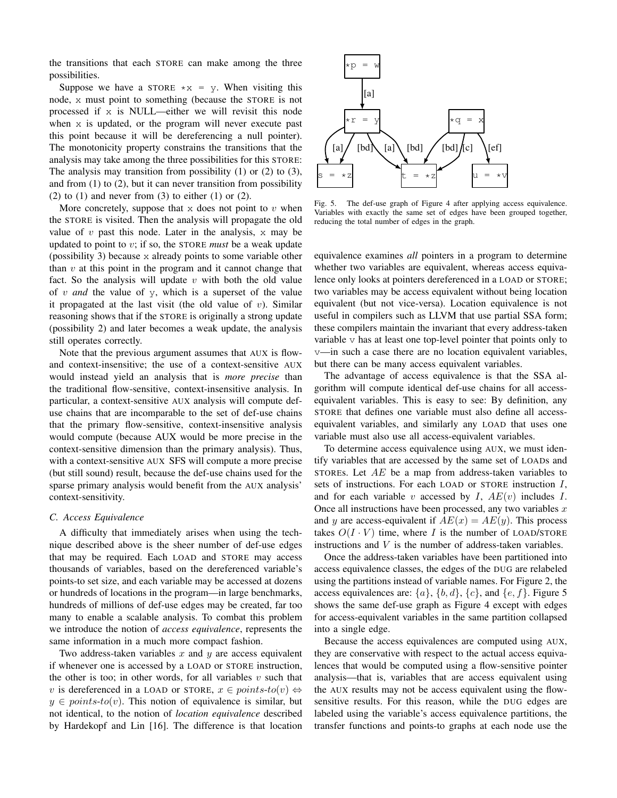the transitions that each STORE can make among the three possibilities.

Suppose we have a STORE  $\star x = y$ . When visiting this node, x must point to something (because the STORE is not processed if x is NULL—either we will revisit this node when x is updated, or the program will never execute past this point because it will be dereferencing a null pointer). The monotonicity property constrains the transitions that the analysis may take among the three possibilities for this STORE: The analysis may transition from possibility (1) or (2) to (3), and from  $(1)$  to  $(2)$ , but it can never transition from possibility  $(2)$  to  $(1)$  and never from  $(3)$  to either  $(1)$  or  $(2)$ .

More concretely, suppose that  $x$  does not point to  $v$  when the STORE is visited. Then the analysis will propagate the old value of  $v$  past this node. Later in the analysis,  $x$  may be updated to point to v; if so, the STORE *must* be a weak update (possibility 3) because x already points to some variable other than  $v$  at this point in the program and it cannot change that fact. So the analysis will update  $v$  with both the old value of v *and* the value of y, which is a superset of the value it propagated at the last visit (the old value of  $v$ ). Similar reasoning shows that if the STORE is originally a strong update (possibility 2) and later becomes a weak update, the analysis still operates correctly.

Note that the previous argument assumes that AUX is flowand context-insensitive; the use of a context-sensitive AUX would instead yield an analysis that is *more precise* than the traditional flow-sensitive, context-insensitive analysis. In particular, a context-sensitive AUX analysis will compute defuse chains that are incomparable to the set of def-use chains that the primary flow-sensitive, context-insensitive analysis would compute (because AUX would be more precise in the context-sensitive dimension than the primary analysis). Thus, with a context-sensitive AUX SFS will compute a more precise (but still sound) result, because the def-use chains used for the sparse primary analysis would benefit from the AUX analysis' context-sensitivity.

#### *C. Access Equivalence*

A difficulty that immediately arises when using the technique described above is the sheer number of def-use edges that may be required. Each LOAD and STORE may access thousands of variables, based on the dereferenced variable's points-to set size, and each variable may be accessed at dozens or hundreds of locations in the program—in large benchmarks, hundreds of millions of def-use edges may be created, far too many to enable a scalable analysis. To combat this problem we introduce the notion of *access equivalence*, represents the same information in a much more compact fashion.

Two address-taken variables  $x$  and  $y$  are access equivalent if whenever one is accessed by a LOAD or STORE instruction, the other is too; in other words, for all variables  $v$  such that v is dereferenced in a LOAD or STORE,  $x \in points-to(v) \Leftrightarrow$  $y \in points-to(v)$ . This notion of equivalence is similar, but not identical, to the notion of *location equivalence* described by Hardekopf and Lin [16]. The difference is that location



Fig. 5. The def-use graph of Figure 4 after applying access equivalence. Variables with exactly the same set of edges have been grouped together, reducing the total number of edges in the graph.

equivalence examines *all* pointers in a program to determine whether two variables are equivalent, whereas access equivalence only looks at pointers dereferenced in a LOAD or STORE; two variables may be access equivalent without being location equivalent (but not vice-versa). Location equivalence is not useful in compilers such as LLVM that use partial SSA form; these compilers maintain the invariant that every address-taken variable  $\nu$  has at least one top-level pointer that points only to v—in such a case there are no location equivalent variables, but there can be many access equivalent variables.

The advantage of access equivalence is that the SSA algorithm will compute identical def-use chains for all accessequivalent variables. This is easy to see: By definition, any STORE that defines one variable must also define all accessequivalent variables, and similarly any LOAD that uses one variable must also use all access-equivalent variables.

To determine access equivalence using AUX, we must identify variables that are accessed by the same set of LOADs and STORES. Let  $AE$  be a map from address-taken variables to sets of instructions. For each LOAD or STORE instruction I, and for each variable v accessed by  $I, AE(v)$  includes  $I.$ Once all instructions have been processed, any two variables  $x$ and y are access-equivalent if  $AE(x) = AE(y)$ . This process takes  $O(I \cdot V)$  time, where I is the number of LOAD/STORE instructions and V is the number of address-taken variables.

Once the address-taken variables have been partitioned into access equivalence classes, the edges of the DUG are relabeled using the partitions instead of variable names. For Figure 2, the access equivalences are:  $\{a\}$ ,  $\{b, d\}$ ,  $\{c\}$ , and  $\{e, f\}$ . Figure 5 shows the same def-use graph as Figure 4 except with edges for access-equivalent variables in the same partition collapsed into a single edge.

Because the access equivalences are computed using AUX, they are conservative with respect to the actual access equivalences that would be computed using a flow-sensitive pointer analysis—that is, variables that are access equivalent using the AUX results may not be access equivalent using the flowsensitive results. For this reason, while the DUG edges are labeled using the variable's access equivalence partitions, the transfer functions and points-to graphs at each node use the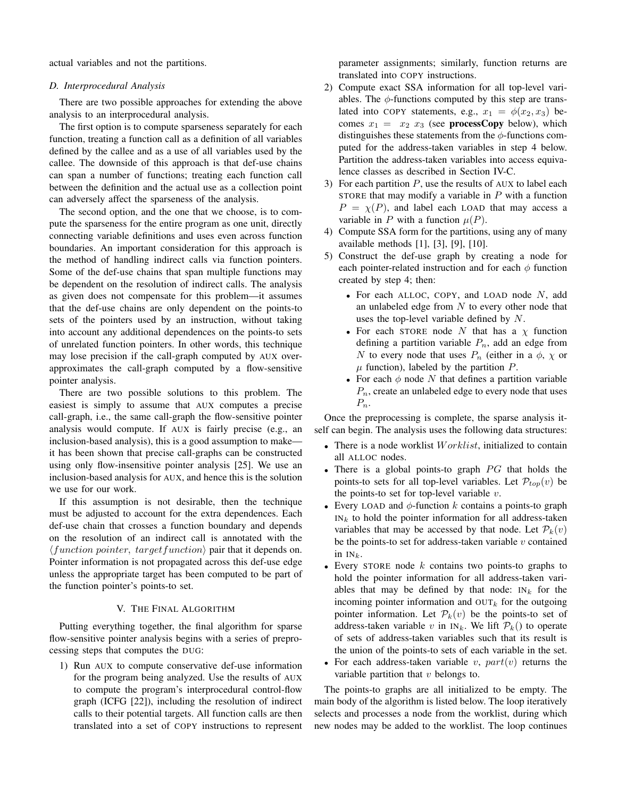actual variables and not the partitions.

#### *D. Interprocedural Analysis*

There are two possible approaches for extending the above analysis to an interprocedural analysis.

The first option is to compute sparseness separately for each function, treating a function call as a definition of all variables defined by the callee and as a use of all variables used by the callee. The downside of this approach is that def-use chains can span a number of functions; treating each function call between the definition and the actual use as a collection point can adversely affect the sparseness of the analysis.

The second option, and the one that we choose, is to compute the sparseness for the entire program as one unit, directly connecting variable definitions and uses even across function boundaries. An important consideration for this approach is the method of handling indirect calls via function pointers. Some of the def-use chains that span multiple functions may be dependent on the resolution of indirect calls. The analysis as given does not compensate for this problem—it assumes that the def-use chains are only dependent on the points-to sets of the pointers used by an instruction, without taking into account any additional dependences on the points-to sets of unrelated function pointers. In other words, this technique may lose precision if the call-graph computed by AUX overapproximates the call-graph computed by a flow-sensitive pointer analysis.

There are two possible solutions to this problem. The easiest is simply to assume that AUX computes a precise call-graph, i.e., the same call-graph the flow-sensitive pointer analysis would compute. If AUX is fairly precise (e.g., an inclusion-based analysis), this is a good assumption to make it has been shown that precise call-graphs can be constructed using only flow-insensitive pointer analysis [25]. We use an inclusion-based analysis for AUX, and hence this is the solution we use for our work.

If this assumption is not desirable, then the technique must be adjusted to account for the extra dependences. Each def-use chain that crosses a function boundary and depends on the resolution of an indirect call is annotated with the  $\langle function\; pointer, \; target\; function \rangle$  pair that it depends on. Pointer information is not propagated across this def-use edge unless the appropriate target has been computed to be part of the function pointer's points-to set.

## V. THE FINAL ALGORITHM

Putting everything together, the final algorithm for sparse flow-sensitive pointer analysis begins with a series of preprocessing steps that computes the DUG:

1) Run AUX to compute conservative def-use information for the program being analyzed. Use the results of AUX to compute the program's interprocedural control-flow graph (ICFG [22]), including the resolution of indirect calls to their potential targets. All function calls are then translated into a set of COPY instructions to represent

parameter assignments; similarly, function returns are translated into COPY instructions.

- 2) Compute exact SSA information for all top-level variables. The  $\phi$ -functions computed by this step are translated into COPY statements, e.g.,  $x_1 = \phi(x_2, x_3)$  becomes  $x_1 = x_2$   $x_3$  (see **processCopy** below), which distinguishes these statements from the  $\phi$ -functions computed for the address-taken variables in step 4 below. Partition the address-taken variables into access equivalence classes as described in Section IV-C.
- 3) For each partition  $P$ , use the results of AUX to label each STORE that may modify a variable in  $P$  with a function  $P = \chi(P)$ , and label each LOAD that may access a variable in P with a function  $\mu(P)$ .
- 4) Compute SSA form for the partitions, using any of many available methods [1], [3], [9], [10].
- 5) Construct the def-use graph by creating a node for each pointer-related instruction and for each  $\phi$  function created by step 4; then:
	- For each ALLOC, COPY, and LOAD node  $N$ , add an unlabeled edge from  $N$  to every other node that uses the top-level variable defined by N.
	- For each STORE node N that has a  $\chi$  function defining a partition variable  $P_n$ , add an edge from N to every node that uses  $P_n$  (either in a  $\phi$ ,  $\chi$  or  $\mu$  function), labeled by the partition  $P$ .
	- For each  $\phi$  node N that defines a partition variable  $P_n$ , create an unlabeled edge to every node that uses  $P_n$ .

Once the preprocessing is complete, the sparse analysis itself can begin. The analysis uses the following data structures:

- There is a node worklist  $Worklist$ , initialized to contain all ALLOC nodes.
- There is a global points-to graph  $PG$  that holds the points-to sets for all top-level variables. Let  $\mathcal{P}_{top}(v)$  be the points-to set for top-level variable  $v$ .
- Every LOAD and  $\phi$ -function k contains a points-to graph  $IN_k$  to hold the pointer information for all address-taken variables that may be accessed by that node. Let  $\mathcal{P}_k(v)$ be the points-to set for address-taken variable  $v$  contained in  $IN_k$ .
- Every STORE node  $k$  contains two points-to graphs to hold the pointer information for all address-taken variables that may be defined by that node:  $IN_k$  for the incoming pointer information and  $\text{OUT}_k$  for the outgoing pointer information. Let  $\mathcal{P}_k(v)$  be the points-to set of address-taken variable v in  $IN_k$ . We lift  $\mathcal{P}_k$ () to operate of sets of address-taken variables such that its result is the union of the points-to sets of each variable in the set.
- For each address-taken variable v,  $part(v)$  returns the variable partition that  $v$  belongs to.

The points-to graphs are all initialized to be empty. The main body of the algorithm is listed below. The loop iteratively selects and processes a node from the worklist, during which new nodes may be added to the worklist. The loop continues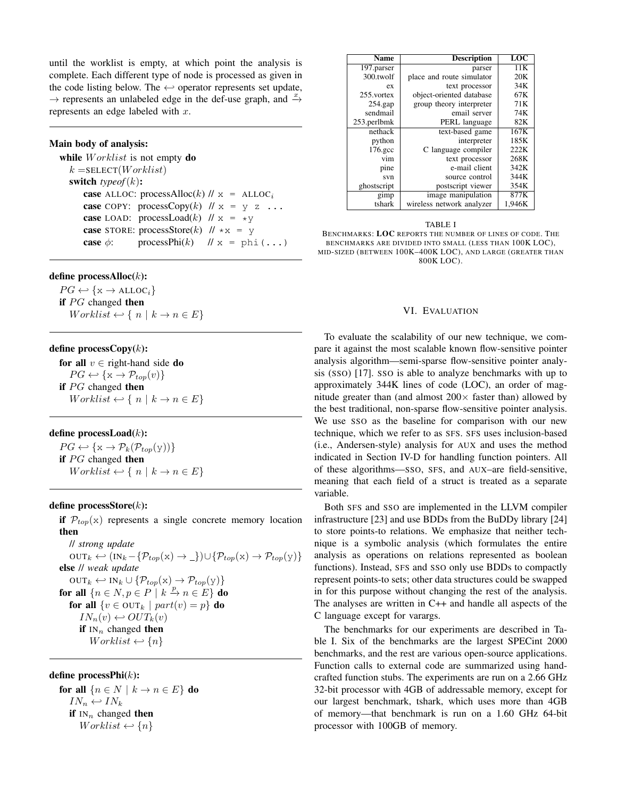until the worklist is empty, at which point the analysis is complete. Each different type of node is processed as given in the code listing below. The  $\leftrightarrow$  operator represents set update,  $\rightarrow$  represents an unlabeled edge in the def-use graph, and  $\stackrel{x}{\rightarrow}$ represents an edge labeled with  $x$ .

# Main body of analysis:

while  $Worklist$  is not empty do  $k =$ SELECT(*Worklist*) switch *typeof*(k): case ALLOC: processAlloc(k)  $\pi$  = ALLOC<sub>i</sub> case COPY: processCopy $(k)$  //  $x = y z$ ... **case** LOAD: processLoad(k)  $\| \mathbf{x} \| = \mathbf{x} \mathbf{y}$ **case** STORE: processStore(k)  $// *x = y$ case  $\phi$ : processPhi(k) // x = phi(...)

### define processAlloc(k):

 $PG \leftrightarrow \{x \rightarrow \text{ALLOC}_i\}$ if  $PG$  changed then  $Worklist \leftrightarrow \{ n \mid k \rightarrow n \in E \}$ 

# define process $Copy(k)$ :

for all  $v \in$  right-hand side do  $PG \leftrightarrow \{x \rightarrow \mathcal{P}_{top}(v)\}$ if  $PG$  changed then  $Worklist \leftrightarrow \{ n \mid k \rightarrow n \in E \}$ 

# define processLoad $(k)$ :

 $PG \leftrightarrow \{x \rightarrow \mathcal{P}_k(\mathcal{P}_{top}(y))\}$ if  $PG$  changed then  $Worklist \leftrightarrow \{ n \mid k \rightarrow n \in E \}$ 

# define process $\text{Store}(k)$ :

if  $\mathcal{P}_{top}(x)$  represents a single concrete memory location then

// *strong update*  $OUT_k \leftarrow (IN_k - \{P_{top}(x) \rightarrow \_}) \cup \{P_{top}(x) \rightarrow P_{top}(y)\}$ else // *weak update*  $OUT_k \leftarrow IN_k \cup \{P_{top}(x) \rightarrow P_{top}(y)\}$ for all  $\{n \in N, p \in P \mid k \stackrel{p}{\to} n \in E\}$  do for all  $\{v \in \text{OUT}_k \mid part(v) = p\}$  do  $IN_n(v) \leftarrow OUT_k(v)$ if  $IN_n$  changed then  $Worklist \leftarrow \{n\}$ 

# define processPhi(k):

for all  $\{n \in N \mid k \to n \in E\}$  do  $IN_n \leftarrow IN_k$ if  $IN_n$  changed then  $Worklist \leftarrow \{n\}$ 

| <b>Name</b> | <b>Description</b>        | LOC    |
|-------------|---------------------------|--------|
| 197.parser  | parser                    | 11K    |
| 300.twolf   | place and route simulator | 20K    |
| ex          | text processor            | 34K    |
| 255.vortex  | object-oriented database  | 67K    |
| $254$ .gap  | group theory interpreter  | 71K    |
| sendmail    | email server              | 74K    |
| 253.perlbmk | PERL language             | 82K    |
| nethack     | text-based game           | 167K   |
| python      | interpreter               | 185K   |
| 176.gcc     | C language compiler       | 222K   |
| vim         | text processor            | 268K   |
| pine        | e-mail client             | 342K   |
| svn         | source control            | 344K   |
| ghostscript | postscript viewer         | 354K   |
| gimp        | image manipulation        | 877K   |
| tshark      | wireless network analyzer | 1,946K |

#### TABLE I

BENCHMARKS: LOC REPORTS THE NUMBER OF LINES OF CODE. THE BENCHMARKS ARE DIVIDED INTO SMALL (LESS THAN 100K LOC), MID-SIZED (BETWEEN 100K–400K LOC), AND LARGE (GREATER THAN 800K LOC).

## VI. EVALUATION

To evaluate the scalability of our new technique, we compare it against the most scalable known flow-sensitive pointer analysis algorithm—semi-sparse flow-sensitive pointer analysis (SSO) [17]. SSO is able to analyze benchmarks with up to approximately 344K lines of code (LOC), an order of magnitude greater than (and almost  $200 \times$  faster than) allowed by the best traditional, non-sparse flow-sensitive pointer analysis. We use SSO as the baseline for comparison with our new technique, which we refer to as SFS. SFS uses inclusion-based (i.e., Andersen-style) analysis for AUX and uses the method indicated in Section IV-D for handling function pointers. All of these algorithms—SSO, SFS, and AUX–are field-sensitive, meaning that each field of a struct is treated as a separate variable.

Both SFS and SSO are implemented in the LLVM compiler infrastructure [23] and use BDDs from the BuDDy library [24] to store points-to relations. We emphasize that neither technique is a symbolic analysis (which formulates the entire analysis as operations on relations represented as boolean functions). Instead, SFS and SSO only use BDDs to compactly represent points-to sets; other data structures could be swapped in for this purpose without changing the rest of the analysis. The analyses are written in C++ and handle all aspects of the C language except for varargs.

The benchmarks for our experiments are described in Table I. Six of the benchmarks are the largest SPECint 2000 benchmarks, and the rest are various open-source applications. Function calls to external code are summarized using handcrafted function stubs. The experiments are run on a 2.66 GHz 32-bit processor with 4GB of addressable memory, except for our largest benchmark, tshark, which uses more than 4GB of memory—that benchmark is run on a 1.60 GHz 64-bit processor with 100GB of memory.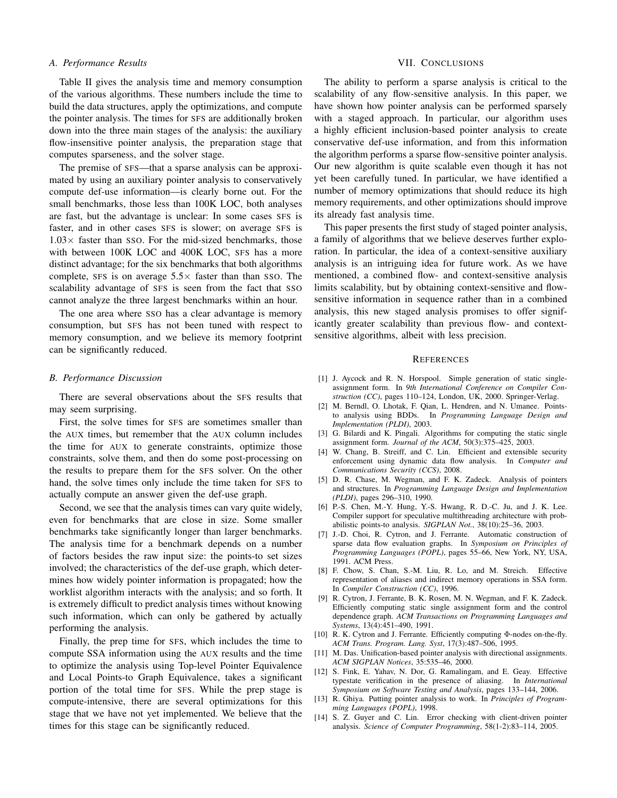#### *A. Performance Results*

Table II gives the analysis time and memory consumption of the various algorithms. These numbers include the time to build the data structures, apply the optimizations, and compute the pointer analysis. The times for SFS are additionally broken down into the three main stages of the analysis: the auxiliary flow-insensitive pointer analysis, the preparation stage that computes sparseness, and the solver stage.

The premise of SFS—that a sparse analysis can be approximated by using an auxiliary pointer analysis to conservatively compute def-use information—is clearly borne out. For the small benchmarks, those less than 100K LOC, both analyses are fast, but the advantage is unclear: In some cases SFS is faster, and in other cases SFS is slower; on average SFS is  $1.03\times$  faster than SSO. For the mid-sized benchmarks, those with between 100K LOC and 400K LOC, SFS has a more distinct advantage; for the six benchmarks that both algorithms complete, SFS is on average  $5.5\times$  faster than than SSO. The scalability advantage of SFS is seen from the fact that SSO cannot analyze the three largest benchmarks within an hour.

The one area where SSO has a clear advantage is memory consumption, but SFS has not been tuned with respect to memory consumption, and we believe its memory footprint can be significantly reduced.

#### *B. Performance Discussion*

There are several observations about the SFS results that may seem surprising.

First, the solve times for SFS are sometimes smaller than the AUX times, but remember that the AUX column includes the time for AUX to generate constraints, optimize those constraints, solve them, and then do some post-processing on the results to prepare them for the SFS solver. On the other hand, the solve times only include the time taken for SFS to actually compute an answer given the def-use graph.

Second, we see that the analysis times can vary quite widely, even for benchmarks that are close in size. Some smaller benchmarks take significantly longer than larger benchmarks. The analysis time for a benchmark depends on a number of factors besides the raw input size: the points-to set sizes involved; the characteristics of the def-use graph, which determines how widely pointer information is propagated; how the worklist algorithm interacts with the analysis; and so forth. It is extremely difficult to predict analysis times without knowing such information, which can only be gathered by actually performing the analysis.

Finally, the prep time for SFS, which includes the time to compute SSA information using the AUX results and the time to optimize the analysis using Top-level Pointer Equivalence and Local Points-to Graph Equivalence, takes a significant portion of the total time for SFS. While the prep stage is compute-intensive, there are several optimizations for this stage that we have not yet implemented. We believe that the times for this stage can be significantly reduced.

#### VII. CONCLUSIONS

The ability to perform a sparse analysis is critical to the scalability of any flow-sensitive analysis. In this paper, we have shown how pointer analysis can be performed sparsely with a staged approach. In particular, our algorithm uses a highly efficient inclusion-based pointer analysis to create conservative def-use information, and from this information the algorithm performs a sparse flow-sensitive pointer analysis. Our new algorithm is quite scalable even though it has not yet been carefully tuned. In particular, we have identified a number of memory optimizations that should reduce its high memory requirements, and other optimizations should improve its already fast analysis time.

This paper presents the first study of staged pointer analysis, a family of algorithms that we believe deserves further exploration. In particular, the idea of a context-sensitive auxiliary analysis is an intriguing idea for future work. As we have mentioned, a combined flow- and context-sensitive analysis limits scalability, but by obtaining context-sensitive and flowsensitive information in sequence rather than in a combined analysis, this new staged analysis promises to offer significantly greater scalability than previous flow- and contextsensitive algorithms, albeit with less precision.

#### **REFERENCES**

- [1] J. Aycock and R. N. Horspool. Simple generation of static singleassignment form. In *9th International Conference on Compiler Construction (CC)*, pages 110–124, London, UK, 2000. Springer-Verlag.
- [2] M. Berndl, O. Lhotak, F. Qian, L. Hendren, and N. Umanee. Pointsto analysis using BDDs. In *Programming Language Design and Implementation (PLDI)*, 2003.
- [3] G. Bilardi and K. Pingali. Algorithms for computing the static single assignment form. *Journal of the ACM*, 50(3):375–425, 2003.
- [4] W. Chang, B. Streiff, and C. Lin. Efficient and extensible security enforcement using dynamic data flow analysis. In *Computer and Communications Security (CCS)*, 2008.
- [5] D. R. Chase, M. Wegman, and F. K. Zadeck. Analysis of pointers and structures. In *Programming Language Design and Implementation (PLDI)*, pages 296–310, 1990.
- [6] P.-S. Chen, M.-Y. Hung, Y.-S. Hwang, R. D.-C. Ju, and J. K. Lee. Compiler support for speculative multithreading architecture with probabilistic points-to analysis. *SIGPLAN Not.*, 38(10):25–36, 2003.
- [7] J.-D. Choi, R. Cytron, and J. Ferrante. Automatic construction of sparse data flow evaluation graphs. In *Symposium on Principles of Programming Languages (POPL)*, pages 55–66, New York, NY, USA, 1991. ACM Press.
- [8] F. Chow, S. Chan, S.-M. Liu, R. Lo, and M. Streich. Effective representation of aliases and indirect memory operations in SSA form. In *Compiler Construction (CC)*, 1996.
- [9] R. Cytron, J. Ferrante, B. K. Rosen, M. N. Wegman, and F. K. Zadeck. Efficiently computing static single assignment form and the control dependence graph. *ACM Transactions on Programming Languages and Systems*, 13(4):451–490, 1991.
- [10] R. K. Cytron and J. Ferrante. Efficiently computing Φ-nodes on-the-fly. *ACM Trans. Program. Lang. Syst*, 17(3):487–506, 1995.
- [11] M. Das. Unification-based pointer analysis with directional assignments. *ACM SIGPLAN Notices*, 35:535–46, 2000.
- [12] S. Fink, E. Yahav, N. Dor, G. Ramalingam, and E. Geay. Effective typestate verification in the presence of aliasing. In *International Symposium on Software Testing and Analysis*, pages 133–144, 2006.
- [13] R. Ghiya. Putting pointer analysis to work. In *Principles of Programming Languages (POPL)*, 1998.
- [14] S. Z. Guyer and C. Lin. Error checking with client-driven pointer analysis. *Science of Computer Programming*, 58(1-2):83–114, 2005.